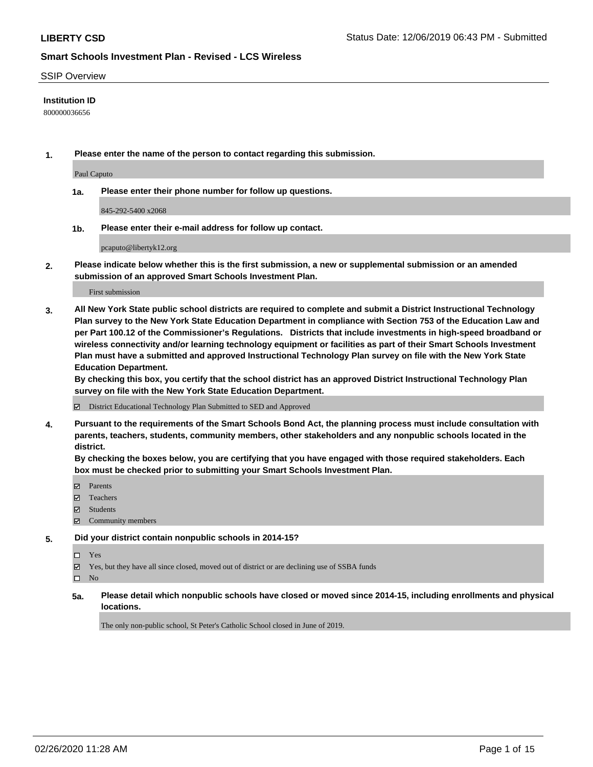#### SSIP Overview

### **Institution ID**

800000036656

**1. Please enter the name of the person to contact regarding this submission.**

Paul Caputo

**1a. Please enter their phone number for follow up questions.**

845-292-5400 x2068

**1b. Please enter their e-mail address for follow up contact.**

pcaputo@libertyk12.org

**2. Please indicate below whether this is the first submission, a new or supplemental submission or an amended submission of an approved Smart Schools Investment Plan.**

First submission

**3. All New York State public school districts are required to complete and submit a District Instructional Technology Plan survey to the New York State Education Department in compliance with Section 753 of the Education Law and per Part 100.12 of the Commissioner's Regulations. Districts that include investments in high-speed broadband or wireless connectivity and/or learning technology equipment or facilities as part of their Smart Schools Investment Plan must have a submitted and approved Instructional Technology Plan survey on file with the New York State Education Department.** 

**By checking this box, you certify that the school district has an approved District Instructional Technology Plan survey on file with the New York State Education Department.**

District Educational Technology Plan Submitted to SED and Approved

**4. Pursuant to the requirements of the Smart Schools Bond Act, the planning process must include consultation with parents, teachers, students, community members, other stakeholders and any nonpublic schools located in the district.** 

**By checking the boxes below, you are certifying that you have engaged with those required stakeholders. Each box must be checked prior to submitting your Smart Schools Investment Plan.**

- Parents
- Teachers
- Students
- Community members

#### **5. Did your district contain nonpublic schools in 2014-15?**

Yes

Yes, but they have all since closed, moved out of district or are declining use of SSBA funds

 $\square$  No

**5a. Please detail which nonpublic schools have closed or moved since 2014-15, including enrollments and physical locations.**

The only non-public school, St Peter's Catholic School closed in June of 2019.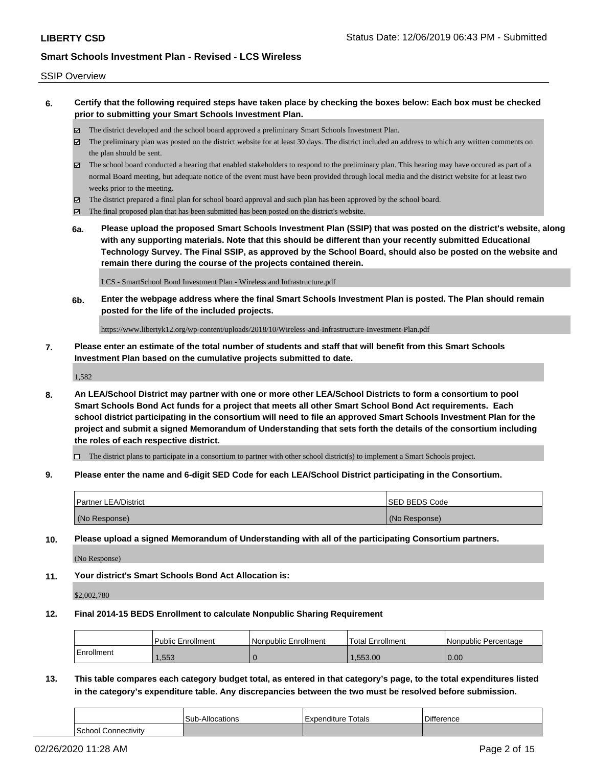- **6. Certify that the following required steps have taken place by checking the boxes below: Each box must be checked prior to submitting your Smart Schools Investment Plan.**
	- The district developed and the school board approved a preliminary Smart Schools Investment Plan.
	- The preliminary plan was posted on the district website for at least 30 days. The district included an address to which any written comments on the plan should be sent.
	- The school board conducted a hearing that enabled stakeholders to respond to the preliminary plan. This hearing may have occured as part of a normal Board meeting, but adequate notice of the event must have been provided through local media and the district website for at least two weeks prior to the meeting.
	- The district prepared a final plan for school board approval and such plan has been approved by the school board.
	- The final proposed plan that has been submitted has been posted on the district's website.
	- **6a. Please upload the proposed Smart Schools Investment Plan (SSIP) that was posted on the district's website, along with any supporting materials. Note that this should be different than your recently submitted Educational Technology Survey. The Final SSIP, as approved by the School Board, should also be posted on the website and remain there during the course of the projects contained therein.**

LCS - SmartSchool Bond Investment Plan - Wireless and Infrastructure.pdf

**6b. Enter the webpage address where the final Smart Schools Investment Plan is posted. The Plan should remain posted for the life of the included projects.**

https://www.libertyk12.org/wp-content/uploads/2018/10/Wireless-and-Infrastructure-Investment-Plan.pdf

**7. Please enter an estimate of the total number of students and staff that will benefit from this Smart Schools Investment Plan based on the cumulative projects submitted to date.**

1,582

**8. An LEA/School District may partner with one or more other LEA/School Districts to form a consortium to pool Smart Schools Bond Act funds for a project that meets all other Smart School Bond Act requirements. Each school district participating in the consortium will need to file an approved Smart Schools Investment Plan for the project and submit a signed Memorandum of Understanding that sets forth the details of the consortium including the roles of each respective district.**

 $\Box$  The district plans to participate in a consortium to partner with other school district(s) to implement a Smart Schools project.

**9. Please enter the name and 6-digit SED Code for each LEA/School District participating in the Consortium.**

| <b>Partner LEA/District</b> | ISED BEDS Code |
|-----------------------------|----------------|
| (No Response)               | (No Response)  |

**10. Please upload a signed Memorandum of Understanding with all of the participating Consortium partners.**

(No Response)

**11. Your district's Smart Schools Bond Act Allocation is:**

\$2,002,780

**12. Final 2014-15 BEDS Enrollment to calculate Nonpublic Sharing Requirement**

|            | Public Enrollment | Nonpublic Enrollment | Total Enrollment | l Nonpublic Percentage |
|------------|-------------------|----------------------|------------------|------------------------|
| Enrollment | .553              |                      | 1,553.00         | 0.00                   |

**13. This table compares each category budget total, as entered in that category's page, to the total expenditures listed in the category's expenditure table. Any discrepancies between the two must be resolved before submission.**

|                               | <b>Sub-Allocations</b> | Totals<br>i Expenditure | $\sim$<br>∟ifference |
|-------------------------------|------------------------|-------------------------|----------------------|
| School<br><b>Connectivity</b> |                        |                         |                      |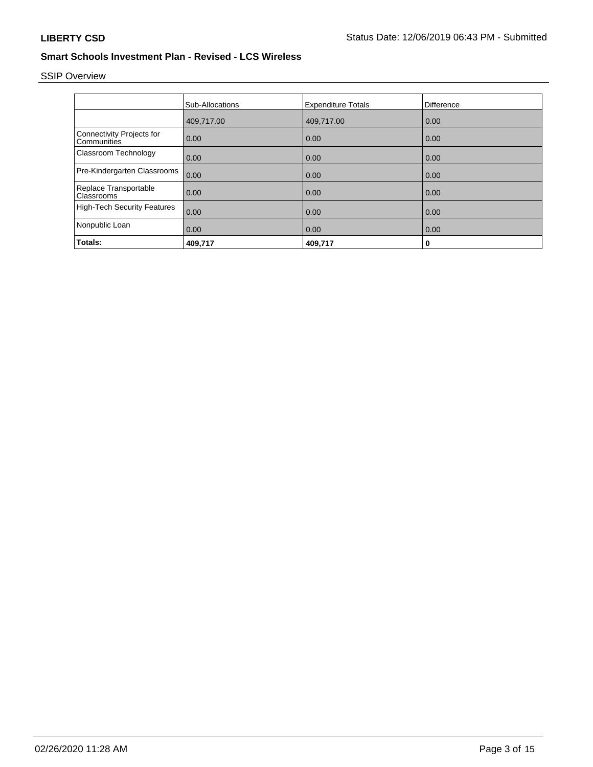# SSIP Overview

|                                                 | <b>Sub-Allocations</b> | <b>Expenditure Totals</b> | <b>Difference</b> |
|-------------------------------------------------|------------------------|---------------------------|-------------------|
|                                                 | 409,717.00             | 409,717.00                | 0.00              |
| Connectivity Projects for<br><b>Communities</b> | 0.00                   | 0.00                      | 0.00              |
| <b>Classroom Technology</b>                     | 0.00                   | 0.00                      | 0.00              |
| Pre-Kindergarten Classrooms                     | 0.00                   | 0.00                      | 0.00              |
| Replace Transportable<br><b>Classrooms</b>      | 0.00                   | 0.00                      | 0.00              |
| High-Tech Security Features                     | 0.00                   | 0.00                      | 0.00              |
| Nonpublic Loan                                  | 0.00                   | 0.00                      | 0.00              |
| Totals:                                         | 409,717                | 409,717                   | 0                 |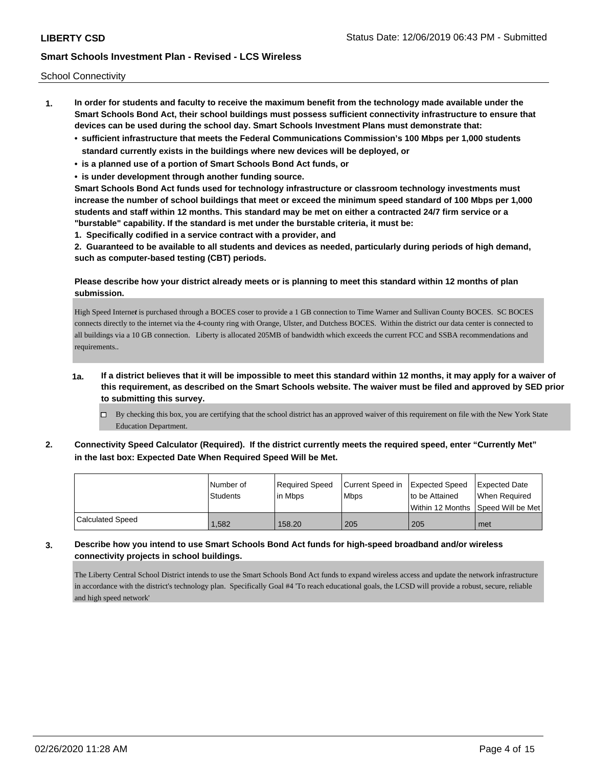School Connectivity

- **1. In order for students and faculty to receive the maximum benefit from the technology made available under the Smart Schools Bond Act, their school buildings must possess sufficient connectivity infrastructure to ensure that devices can be used during the school day. Smart Schools Investment Plans must demonstrate that:**
	- **• sufficient infrastructure that meets the Federal Communications Commission's 100 Mbps per 1,000 students standard currently exists in the buildings where new devices will be deployed, or**
	- **• is a planned use of a portion of Smart Schools Bond Act funds, or**
	- **• is under development through another funding source.**

**Smart Schools Bond Act funds used for technology infrastructure or classroom technology investments must increase the number of school buildings that meet or exceed the minimum speed standard of 100 Mbps per 1,000 students and staff within 12 months. This standard may be met on either a contracted 24/7 firm service or a "burstable" capability. If the standard is met under the burstable criteria, it must be:**

**1. Specifically codified in a service contract with a provider, and**

**2. Guaranteed to be available to all students and devices as needed, particularly during periods of high demand, such as computer-based testing (CBT) periods.**

### **Please describe how your district already meets or is planning to meet this standard within 12 months of plan submission.**

High Speed Interne*t* is purchased through a BOCES coser to provide a 1 GB connection to Time Warner and Sullivan County BOCES. SC BOCES connects directly to the internet via the 4-county ring with Orange, Ulster, and Dutchess BOCES. Within the district our data center is connected to all buildings via a 10 GB connection. Liberty is allocated 205MB of bandwidth which exceeds the current FCC and SSBA recommendations and requirements..

## **1a. If a district believes that it will be impossible to meet this standard within 12 months, it may apply for a waiver of this requirement, as described on the Smart Schools website. The waiver must be filed and approved by SED prior to submitting this survey.**

- $\Box$  By checking this box, you are certifying that the school district has an approved waiver of this requirement on file with the New York State Education Department.
- **2. Connectivity Speed Calculator (Required). If the district currently meets the required speed, enter "Currently Met" in the last box: Expected Date When Required Speed Will be Met.**

|                         | l Number of     | Required Speed | Current Speed in Expected Speed |                | <b>Expected Date</b>                                |
|-------------------------|-----------------|----------------|---------------------------------|----------------|-----------------------------------------------------|
|                         | <b>Students</b> | lin Mbps       | <b>Mbps</b>                     | to be Attained | When Required<br>Within 12 Months Speed Will be Met |
|                         |                 |                |                                 |                |                                                     |
| <b>Calculated Speed</b> | .582            | 158.20         | 205                             | 205            | met                                                 |

### **3. Describe how you intend to use Smart Schools Bond Act funds for high-speed broadband and/or wireless connectivity projects in school buildings.**

The Liberty Central School District intends to use the Smart Schools Bond Act funds to expand wireless access and update the network infrastructure in accordance with the district's technology plan. Specifically Goal #4 'To reach educational goals, the LCSD will provide a robust, secure, reliable and high speed network'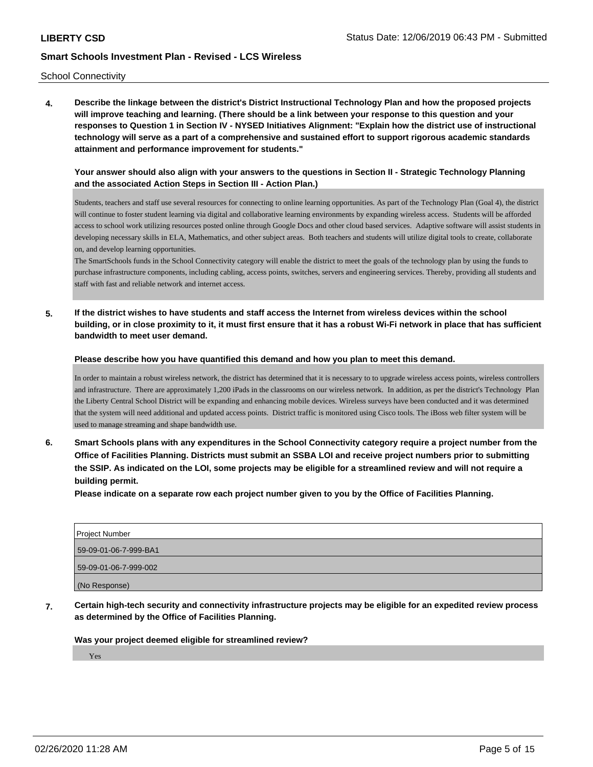School Connectivity

**4. Describe the linkage between the district's District Instructional Technology Plan and how the proposed projects will improve teaching and learning. (There should be a link between your response to this question and your responses to Question 1 in Section IV - NYSED Initiatives Alignment: "Explain how the district use of instructional technology will serve as a part of a comprehensive and sustained effort to support rigorous academic standards attainment and performance improvement for students."** 

**Your answer should also align with your answers to the questions in Section II - Strategic Technology Planning and the associated Action Steps in Section III - Action Plan.)**

Students, teachers and staff use several resources for connecting to online learning opportunities. As part of the Technology Plan (Goal 4), the district will continue to foster student learning via digital and collaborative learning environments by expanding wireless access. Students will be afforded access to school work utilizing resources posted online through Google Docs and other cloud based services. Adaptive software will assist students in developing necessary skills in ELA, Mathematics, and other subject areas. Both teachers and students will utilize digital tools to create, collaborate on, and develop learning opportunities.

The SmartSchools funds in the School Connectivity category will enable the district to meet the goals of the technology plan by using the funds to purchase infrastructure components, including cabling, access points, switches, servers and engineering services. Thereby, providing all students and staff with fast and reliable network and internet access.

**5. If the district wishes to have students and staff access the Internet from wireless devices within the school building, or in close proximity to it, it must first ensure that it has a robust Wi-Fi network in place that has sufficient bandwidth to meet user demand.**

**Please describe how you have quantified this demand and how you plan to meet this demand.**

In order to maintain a robust wireless network, the district has determined that it is necessary to to upgrade wireless access points, wireless controllers and infrastructure. There are approximately 1,200 iPads in the classrooms on our wireless network. In addition, as per the district's Technology Plan the Liberty Central School District will be expanding and enhancing mobile devices. Wireless surveys have been conducted and it was determined that the system will need additional and updated access points. District traffic is monitored using Cisco tools. The iBoss web filter system will be used to manage streaming and shape bandwidth use.

**6. Smart Schools plans with any expenditures in the School Connectivity category require a project number from the Office of Facilities Planning. Districts must submit an SSBA LOI and receive project numbers prior to submitting the SSIP. As indicated on the LOI, some projects may be eligible for a streamlined review and will not require a building permit.**

**Please indicate on a separate row each project number given to you by the Office of Facilities Planning.**

| Project Number        |
|-----------------------|
| 59-09-01-06-7-999-BA1 |
| 59-09-01-06-7-999-002 |
| (No Response)         |

**7. Certain high-tech security and connectivity infrastructure projects may be eligible for an expedited review process as determined by the Office of Facilities Planning.**

#### **Was your project deemed eligible for streamlined review?**

Yes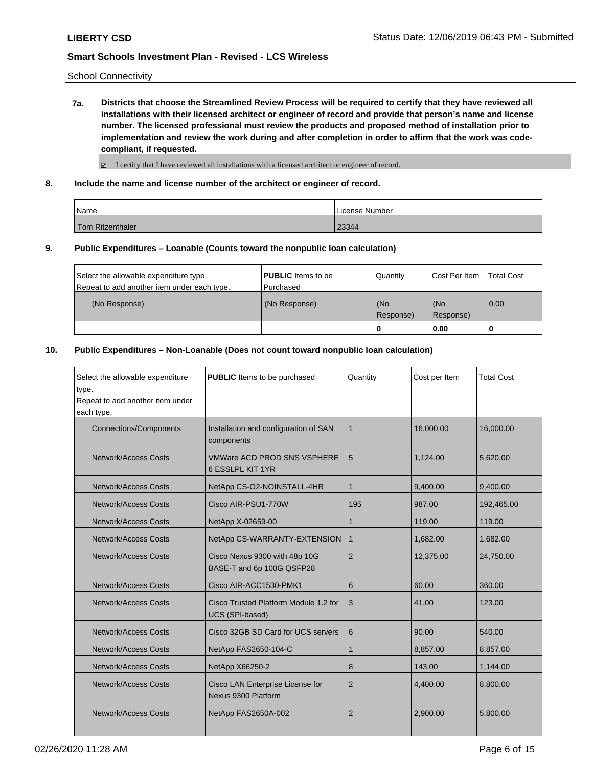School Connectivity

**7a. Districts that choose the Streamlined Review Process will be required to certify that they have reviewed all installations with their licensed architect or engineer of record and provide that person's name and license number. The licensed professional must review the products and proposed method of installation prior to implementation and review the work during and after completion in order to affirm that the work was codecompliant, if requested.**

 $\boxtimes$  I certify that I have reviewed all installations with a licensed architect or engineer of record.

**8. Include the name and license number of the architect or engineer of record.**

| 'Name                   | License Number |
|-------------------------|----------------|
| <b>Tom Ritzenthaler</b> | 23344          |

#### **9. Public Expenditures – Loanable (Counts toward the nonpublic loan calculation)**

|                                             |                           | 0               | 0.00          |                   |
|---------------------------------------------|---------------------------|-----------------|---------------|-------------------|
|                                             |                           | Response)       | Response)     |                   |
| (No Response)                               | (No Response)             | (No             | l (No         | 0.00              |
| Repeat to add another item under each type. | l Purchased               |                 |               |                   |
| Select the allowable expenditure type.      | <b>PUBLIC</b> Items to be | <b>Quantity</b> | Cost Per Item | <b>Total Cost</b> |

### **10. Public Expenditures – Non-Loanable (Does not count toward nonpublic loan calculation)**

| Select the allowable expenditure<br>type.<br>Repeat to add another item under<br>each type. | <b>PUBLIC</b> Items to be purchased                        | Quantity       | Cost per Item | <b>Total Cost</b> |
|---------------------------------------------------------------------------------------------|------------------------------------------------------------|----------------|---------------|-------------------|
| <b>Connections/Components</b>                                                               | Installation and configuration of SAN<br>components        | 1              | 16.000.00     | 16.000.00         |
| Network/Access Costs                                                                        | <b>VMWare ACD PROD SNS VSPHERE</b><br>6 ESSLPL KIT 1YR     | 5              | 1,124.00      | 5,620.00          |
| Network/Access Costs                                                                        | NetApp CS-O2-NOINSTALL-4HR                                 | 1              | 9,400.00      | 9,400.00          |
| <b>Network/Access Costs</b>                                                                 | Cisco AIR-PSU1-770W                                        | 195            | 987.00        | 192,465.00        |
| Network/Access Costs                                                                        | NetApp X-02659-00                                          | 1              | 119.00        | 119.00            |
| Network/Access Costs                                                                        | NetApp CS-WARRANTY-EXTENSION                               | $\mathbf{1}$   | 1,682.00      | 1,682.00          |
| Network/Access Costs                                                                        | Cisco Nexus 9300 with 48p 10G<br>BASE-T and 6p 100G QSFP28 | $\overline{2}$ | 12,375.00     | 24,750.00         |
| <b>Network/Access Costs</b>                                                                 | Cisco AIR-ACC1530-PMK1                                     | 6              | 60.00         | 360.00            |
| Network/Access Costs                                                                        | Cisco Trusted Platform Module 1.2 for<br>UCS (SPI-based)   | 3              | 41.00         | 123.00            |
| Network/Access Costs                                                                        | Cisco 32GB SD Card for UCS servers                         | 6              | 90.00         | 540.00            |
| Network/Access Costs                                                                        | NetApp FAS2650-104-C                                       | $\mathbf{1}$   | 8,857.00      | 8,857.00          |
| Network/Access Costs                                                                        | NetApp X66250-2                                            | 8              | 143.00        | 1,144.00          |
| Network/Access Costs                                                                        | Cisco LAN Enterprise License for<br>Nexus 9300 Platform    | $\overline{2}$ | 4.400.00      | 8,800.00          |
| Network/Access Costs                                                                        | NetApp FAS2650A-002                                        | 2              | 2,900.00      | 5,800.00          |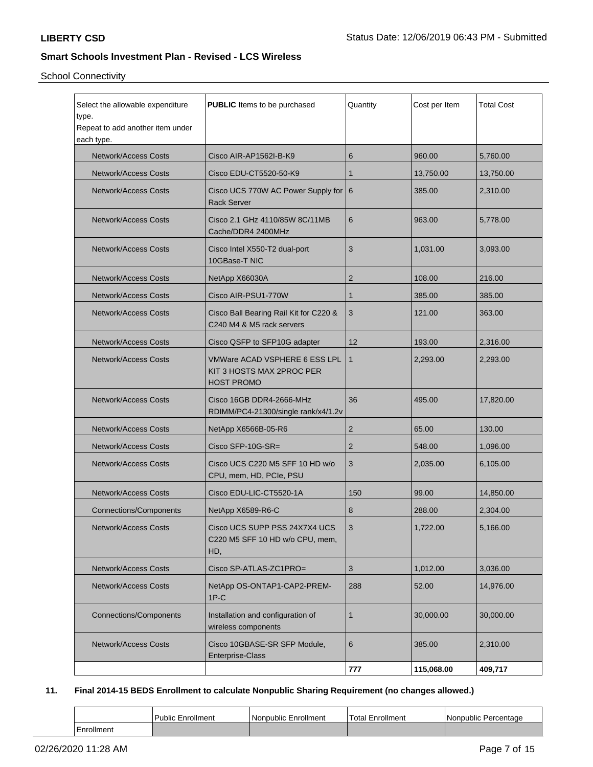School Connectivity

| Select the allowable expenditure<br><b>PUBLIC</b> Items to be purchased<br>type.<br>Repeat to add another item under<br>each type. |                                                                                        | Quantity       | Cost per Item | <b>Total Cost</b> |
|------------------------------------------------------------------------------------------------------------------------------------|----------------------------------------------------------------------------------------|----------------|---------------|-------------------|
| <b>Network/Access Costs</b>                                                                                                        | Cisco AIR-AP1562I-B-K9                                                                 | 6              | 960.00        | 5,760.00          |
| <b>Network/Access Costs</b>                                                                                                        | Cisco EDU-CT5520-50-K9                                                                 | 1              | 13,750.00     | 13,750.00         |
| <b>Network/Access Costs</b>                                                                                                        | Cisco UCS 770W AC Power Supply for 6<br><b>Rack Server</b>                             |                | 385.00        | 2,310.00          |
| <b>Network/Access Costs</b>                                                                                                        | Cisco 2.1 GHz 4110/85W 8C/11MB<br>Cache/DDR4 2400MHz                                   | 6              | 963.00        | 5.778.00          |
| <b>Network/Access Costs</b>                                                                                                        | Cisco Intel X550-T2 dual-port<br>10GBase-T NIC                                         | 3              | 1,031.00      | 3,093.00          |
| <b>Network/Access Costs</b>                                                                                                        | NetApp X66030A                                                                         | $\overline{c}$ | 108.00        | 216.00            |
| <b>Network/Access Costs</b>                                                                                                        | Cisco AIR-PSU1-770W                                                                    | $\mathbf{1}$   | 385.00        | 385.00            |
| <b>Network/Access Costs</b>                                                                                                        | Cisco Ball Bearing Rail Kit for C220 &<br>C240 M4 & M5 rack servers                    | 3              | 121.00        | 363.00            |
| <b>Network/Access Costs</b>                                                                                                        | Cisco QSFP to SFP10G adapter                                                           | 12             | 193.00        | 2,316.00          |
| <b>Network/Access Costs</b>                                                                                                        | <b>VMWare ACAD VSPHERE 6 ESS LPL</b><br>KIT 3 HOSTS MAX 2PROC PER<br><b>HOST PROMO</b> | $\mathbf{1}$   | 2,293.00      | 2,293.00          |
| <b>Network/Access Costs</b>                                                                                                        | Cisco 16GB DDR4-2666-MHz<br>RDIMM/PC4-21300/single rank/x4/1.2v                        | 36             | 495.00        | 17,820.00         |
| <b>Network/Access Costs</b>                                                                                                        | NetApp X6566B-05-R6                                                                    | $\overline{c}$ | 65.00         | 130.00            |
| <b>Network/Access Costs</b>                                                                                                        | Cisco SFP-10G-SR=                                                                      | $\overline{2}$ | 548.00        | 1,096.00          |
| <b>Network/Access Costs</b>                                                                                                        | Cisco UCS C220 M5 SFF 10 HD w/o<br>CPU, mem, HD, PCIe, PSU                             | 3              | 2,035.00      | 6,105.00          |
| <b>Network/Access Costs</b>                                                                                                        | Cisco EDU-LIC-CT5520-1A                                                                | 150            | 99.00         | 14,850.00         |
| <b>Connections/Components</b>                                                                                                      | NetApp X6589-R6-C                                                                      | 8              | 288.00        | 2,304.00          |
| Network/Access Costs                                                                                                               | Cisco UCS SUPP PSS 24X7X4 UCS<br>C220 M5 SFF 10 HD w/o CPU, mem,<br>HD,                | 3              | 1,722.00      | 5,166.00          |
| Network/Access Costs                                                                                                               | Cisco SP-ATLAS-ZC1PRO=                                                                 | $\sqrt{3}$     | 1,012.00      | 3,036.00          |
| <b>Network/Access Costs</b>                                                                                                        | NetApp OS-ONTAP1-CAP2-PREM-<br>$1P-C$                                                  | 288            | 52.00         | 14,976.00         |
| <b>Connections/Components</b>                                                                                                      | Installation and configuration of<br>wireless components                               | $\mathbf{1}$   | 30,000.00     | 30,000.00         |
| <b>Network/Access Costs</b>                                                                                                        | Cisco 10GBASE-SR SFP Module,<br><b>Enterprise-Class</b>                                | 6              | 385.00        | 2,310.00          |
|                                                                                                                                    |                                                                                        | 777            | 115,068.00    | 409,717           |

# **11. Final 2014-15 BEDS Enrollment to calculate Nonpublic Sharing Requirement (no changes allowed.)**

|            | I Public Enrollment | l Nonpublic Enrollment | $'$ Total $E$ .<br>Enrollment | Nonpublic Percentage |
|------------|---------------------|------------------------|-------------------------------|----------------------|
| Enrollment |                     |                        |                               |                      |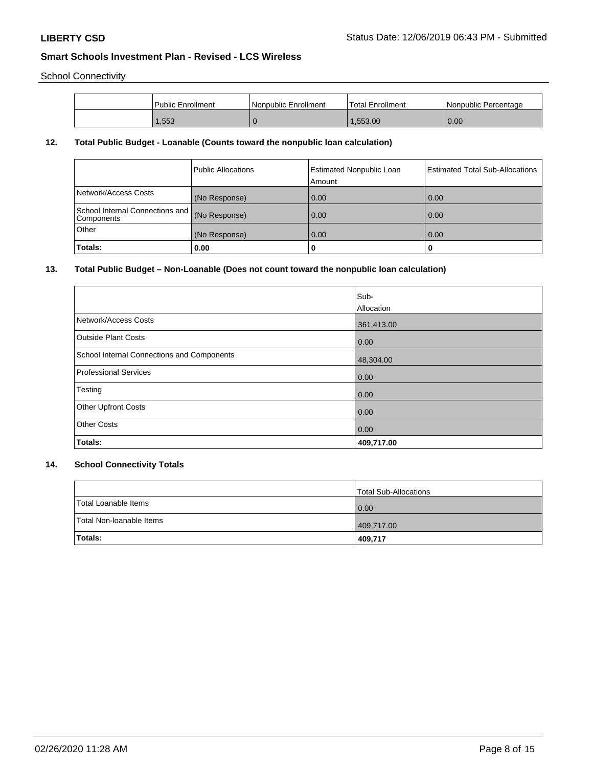School Connectivity

| l Public Enrollment | Nonpublic Enrollment | 'Total Enrollment | Nonpublic Percentage |
|---------------------|----------------------|-------------------|----------------------|
| .553                |                      | .553.00           | 0.00                 |

# **12. Total Public Budget - Loanable (Counts toward the nonpublic loan calculation)**

|                                               | Public Allocations | <b>Estimated Nonpublic Loan</b><br>Amount | <b>Estimated Total Sub-Allocations</b> |
|-----------------------------------------------|--------------------|-------------------------------------------|----------------------------------------|
| Network/Access Costs                          | (No Response)      | 0.00                                      | 0.00                                   |
| School Internal Connections and<br>Components | (No Response)      | 0.00                                      | 0.00                                   |
| Other                                         | (No Response)      | 0.00                                      | 0.00                                   |
| Totals:                                       | 0.00               | 0                                         |                                        |

# **13. Total Public Budget – Non-Loanable (Does not count toward the nonpublic loan calculation)**

|                                            | Sub-<br>Allocation |
|--------------------------------------------|--------------------|
| Network/Access Costs                       | 361,413.00         |
| <b>Outside Plant Costs</b>                 | 0.00               |
| School Internal Connections and Components | 48,304.00          |
| <b>Professional Services</b>               | 0.00               |
| Testing                                    | 0.00               |
| <b>Other Upfront Costs</b>                 | 0.00               |
| <b>Other Costs</b>                         | 0.00               |
| Totals:                                    | 409,717.00         |

# **14. School Connectivity Totals**

|                          | Total Sub-Allocations |
|--------------------------|-----------------------|
| Total Loanable Items     | 0.00                  |
| Total Non-Ioanable Items | 409,717.00            |
| <b>Totals:</b>           | 409,717               |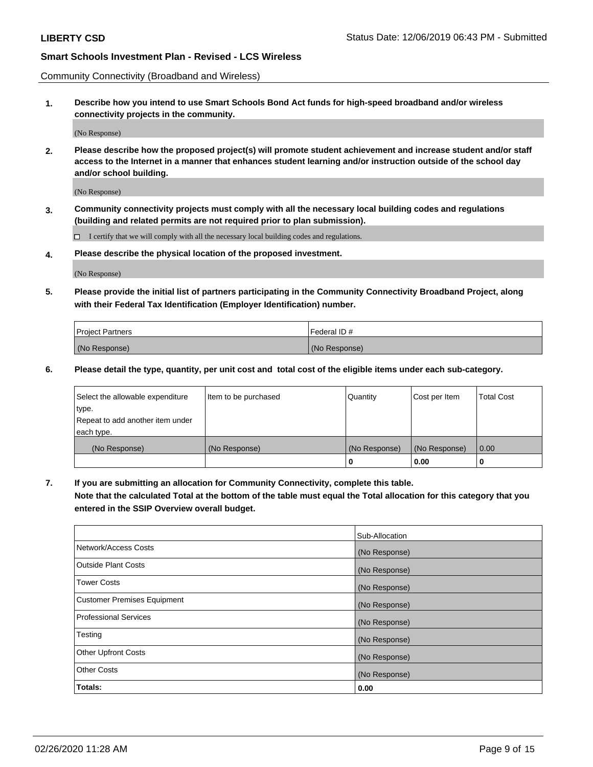Community Connectivity (Broadband and Wireless)

**1. Describe how you intend to use Smart Schools Bond Act funds for high-speed broadband and/or wireless connectivity projects in the community.**

(No Response)

**2. Please describe how the proposed project(s) will promote student achievement and increase student and/or staff access to the Internet in a manner that enhances student learning and/or instruction outside of the school day and/or school building.**

(No Response)

**3. Community connectivity projects must comply with all the necessary local building codes and regulations (building and related permits are not required prior to plan submission).**

 $\Box$  I certify that we will comply with all the necessary local building codes and regulations.

**4. Please describe the physical location of the proposed investment.**

(No Response)

**5. Please provide the initial list of partners participating in the Community Connectivity Broadband Project, along with their Federal Tax Identification (Employer Identification) number.**

| <b>Project Partners</b> | l Federal ID # |
|-------------------------|----------------|
| (No Response)           | (No Response)  |

**6. Please detail the type, quantity, per unit cost and total cost of the eligible items under each sub-category.**

| Select the allowable expenditure | Item to be purchased | Quantity      | Cost per Item | <b>Total Cost</b> |
|----------------------------------|----------------------|---------------|---------------|-------------------|
| type.                            |                      |               |               |                   |
| Repeat to add another item under |                      |               |               |                   |
| each type.                       |                      |               |               |                   |
| (No Response)                    | (No Response)        | (No Response) | (No Response) | 0.00              |
|                                  |                      | o             | 0.00          |                   |

**7. If you are submitting an allocation for Community Connectivity, complete this table.**

**Note that the calculated Total at the bottom of the table must equal the Total allocation for this category that you entered in the SSIP Overview overall budget.**

|                                    | Sub-Allocation |
|------------------------------------|----------------|
| Network/Access Costs               | (No Response)  |
| Outside Plant Costs                | (No Response)  |
| <b>Tower Costs</b>                 | (No Response)  |
| <b>Customer Premises Equipment</b> | (No Response)  |
| <b>Professional Services</b>       | (No Response)  |
| Testing                            | (No Response)  |
| <b>Other Upfront Costs</b>         | (No Response)  |
| <b>Other Costs</b>                 | (No Response)  |
| Totals:                            | 0.00           |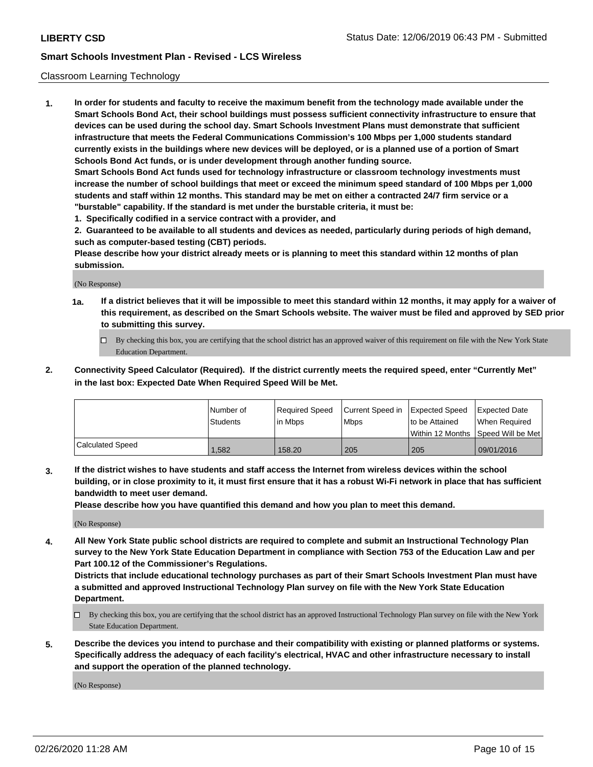#### Classroom Learning Technology

**1. In order for students and faculty to receive the maximum benefit from the technology made available under the Smart Schools Bond Act, their school buildings must possess sufficient connectivity infrastructure to ensure that devices can be used during the school day. Smart Schools Investment Plans must demonstrate that sufficient infrastructure that meets the Federal Communications Commission's 100 Mbps per 1,000 students standard currently exists in the buildings where new devices will be deployed, or is a planned use of a portion of Smart Schools Bond Act funds, or is under development through another funding source. Smart Schools Bond Act funds used for technology infrastructure or classroom technology investments must increase the number of school buildings that meet or exceed the minimum speed standard of 100 Mbps per 1,000 students and staff within 12 months. This standard may be met on either a contracted 24/7 firm service or a**

**"burstable" capability. If the standard is met under the burstable criteria, it must be:**

**1. Specifically codified in a service contract with a provider, and**

**2. Guaranteed to be available to all students and devices as needed, particularly during periods of high demand, such as computer-based testing (CBT) periods.**

**Please describe how your district already meets or is planning to meet this standard within 12 months of plan submission.**

(No Response)

- **1a. If a district believes that it will be impossible to meet this standard within 12 months, it may apply for a waiver of this requirement, as described on the Smart Schools website. The waiver must be filed and approved by SED prior to submitting this survey.**
	- By checking this box, you are certifying that the school district has an approved waiver of this requirement on file with the New York State Education Department.
- **2. Connectivity Speed Calculator (Required). If the district currently meets the required speed, enter "Currently Met" in the last box: Expected Date When Required Speed Will be Met.**

|                  | l Number of | Required Speed | Current Speed in | Expected Speed | Expected Date                           |
|------------------|-------------|----------------|------------------|----------------|-----------------------------------------|
|                  | Students    | in Mbps        | l Mbps           | to be Attained | When Required                           |
|                  |             |                |                  |                | l Within 12 Months ISpeed Will be Met l |
| Calculated Speed | 1.582       | 158.20         | 205              | 205            | 09/01/2016                              |

**3. If the district wishes to have students and staff access the Internet from wireless devices within the school building, or in close proximity to it, it must first ensure that it has a robust Wi-Fi network in place that has sufficient bandwidth to meet user demand.**

**Please describe how you have quantified this demand and how you plan to meet this demand.**

(No Response)

**4. All New York State public school districts are required to complete and submit an Instructional Technology Plan survey to the New York State Education Department in compliance with Section 753 of the Education Law and per Part 100.12 of the Commissioner's Regulations.**

**Districts that include educational technology purchases as part of their Smart Schools Investment Plan must have a submitted and approved Instructional Technology Plan survey on file with the New York State Education Department.**

- By checking this box, you are certifying that the school district has an approved Instructional Technology Plan survey on file with the New York State Education Department.
- **5. Describe the devices you intend to purchase and their compatibility with existing or planned platforms or systems. Specifically address the adequacy of each facility's electrical, HVAC and other infrastructure necessary to install and support the operation of the planned technology.**

(No Response)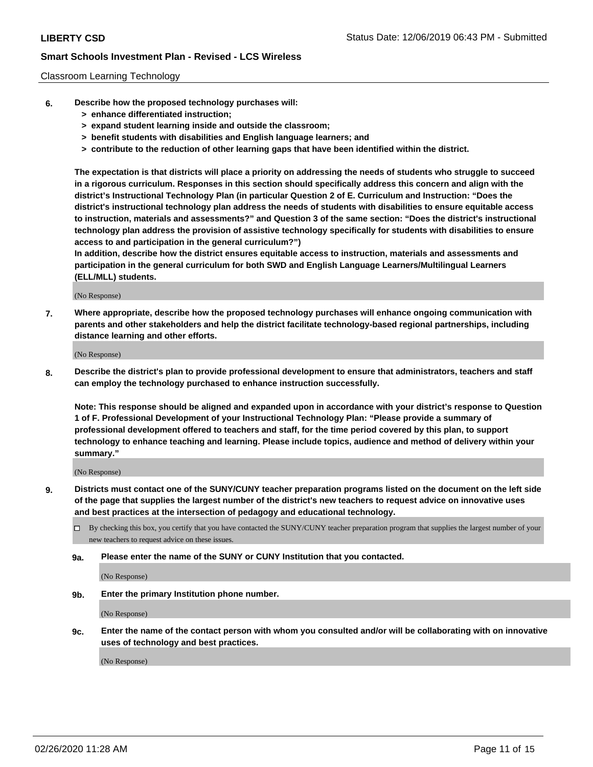### Classroom Learning Technology

- **6. Describe how the proposed technology purchases will:**
	- **> enhance differentiated instruction;**
	- **> expand student learning inside and outside the classroom;**
	- **> benefit students with disabilities and English language learners; and**
	- **> contribute to the reduction of other learning gaps that have been identified within the district.**

**The expectation is that districts will place a priority on addressing the needs of students who struggle to succeed in a rigorous curriculum. Responses in this section should specifically address this concern and align with the district's Instructional Technology Plan (in particular Question 2 of E. Curriculum and Instruction: "Does the district's instructional technology plan address the needs of students with disabilities to ensure equitable access to instruction, materials and assessments?" and Question 3 of the same section: "Does the district's instructional technology plan address the provision of assistive technology specifically for students with disabilities to ensure access to and participation in the general curriculum?")**

**In addition, describe how the district ensures equitable access to instruction, materials and assessments and participation in the general curriculum for both SWD and English Language Learners/Multilingual Learners (ELL/MLL) students.**

(No Response)

**7. Where appropriate, describe how the proposed technology purchases will enhance ongoing communication with parents and other stakeholders and help the district facilitate technology-based regional partnerships, including distance learning and other efforts.**

(No Response)

**8. Describe the district's plan to provide professional development to ensure that administrators, teachers and staff can employ the technology purchased to enhance instruction successfully.**

**Note: This response should be aligned and expanded upon in accordance with your district's response to Question 1 of F. Professional Development of your Instructional Technology Plan: "Please provide a summary of professional development offered to teachers and staff, for the time period covered by this plan, to support technology to enhance teaching and learning. Please include topics, audience and method of delivery within your summary."**

(No Response)

- **9. Districts must contact one of the SUNY/CUNY teacher preparation programs listed on the document on the left side of the page that supplies the largest number of the district's new teachers to request advice on innovative uses and best practices at the intersection of pedagogy and educational technology.**
	- By checking this box, you certify that you have contacted the SUNY/CUNY teacher preparation program that supplies the largest number of your new teachers to request advice on these issues.
	- **9a. Please enter the name of the SUNY or CUNY Institution that you contacted.**

(No Response)

**9b. Enter the primary Institution phone number.**

(No Response)

**9c. Enter the name of the contact person with whom you consulted and/or will be collaborating with on innovative uses of technology and best practices.**

(No Response)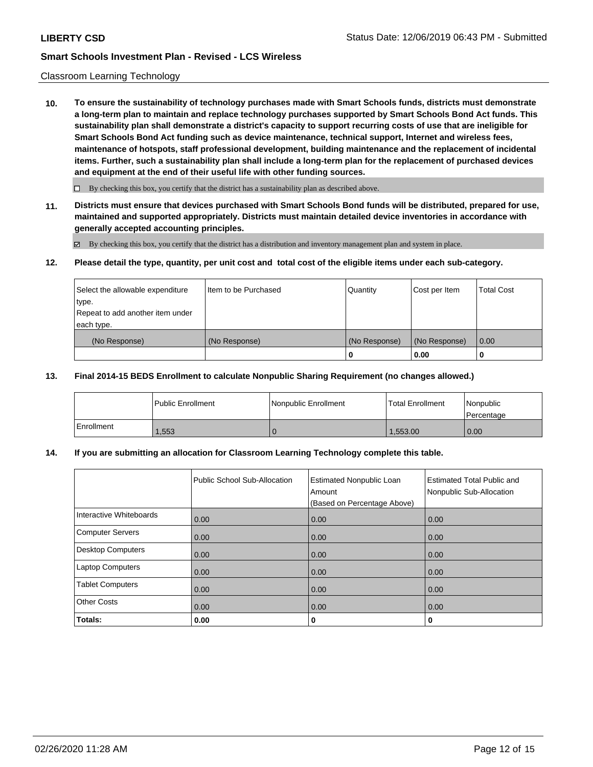### Classroom Learning Technology

**10. To ensure the sustainability of technology purchases made with Smart Schools funds, districts must demonstrate a long-term plan to maintain and replace technology purchases supported by Smart Schools Bond Act funds. This sustainability plan shall demonstrate a district's capacity to support recurring costs of use that are ineligible for Smart Schools Bond Act funding such as device maintenance, technical support, Internet and wireless fees, maintenance of hotspots, staff professional development, building maintenance and the replacement of incidental items. Further, such a sustainability plan shall include a long-term plan for the replacement of purchased devices and equipment at the end of their useful life with other funding sources.**

 $\Box$  By checking this box, you certify that the district has a sustainability plan as described above.

**11. Districts must ensure that devices purchased with Smart Schools Bond funds will be distributed, prepared for use, maintained and supported appropriately. Districts must maintain detailed device inventories in accordance with generally accepted accounting principles.**

By checking this box, you certify that the district has a distribution and inventory management plan and system in place.

#### **12. Please detail the type, quantity, per unit cost and total cost of the eligible items under each sub-category.**

| Select the allowable expenditure<br>type.<br>Repeat to add another item under | Item to be Purchased | Quantity      | Cost per Item | <b>Total Cost</b> |
|-------------------------------------------------------------------------------|----------------------|---------------|---------------|-------------------|
| each type.<br>(No Response)                                                   | (No Response)        | (No Response) | (No Response) | 0.00              |
|                                                                               |                      | 0             | 0.00          |                   |

#### **13. Final 2014-15 BEDS Enrollment to calculate Nonpublic Sharing Requirement (no changes allowed.)**

|            | l Public Enrollment | Nonpublic Enrollment | <b>Total Enrollment</b> | l Nonpublic<br>l Percentage |
|------------|---------------------|----------------------|-------------------------|-----------------------------|
| Enrollment | .553                |                      | ,553.00                 | 0.00                        |

### **14. If you are submitting an allocation for Classroom Learning Technology complete this table.**

|                          | Public School Sub-Allocation | <b>Estimated Nonpublic Loan</b><br>Amount<br>(Based on Percentage Above) | <b>Estimated Total Public and</b><br>Nonpublic Sub-Allocation |
|--------------------------|------------------------------|--------------------------------------------------------------------------|---------------------------------------------------------------|
| Interactive Whiteboards  | 0.00                         | 0.00                                                                     | 0.00                                                          |
| Computer Servers         | 0.00                         | 0.00                                                                     | 0.00                                                          |
| <b>Desktop Computers</b> | 0.00                         | 0.00                                                                     | 0.00                                                          |
| <b>Laptop Computers</b>  | 0.00                         | 0.00                                                                     | 0.00                                                          |
| <b>Tablet Computers</b>  | 0.00                         | 0.00                                                                     | 0.00                                                          |
| <b>Other Costs</b>       | 0.00                         | 0.00                                                                     | 0.00                                                          |
| Totals:                  | 0.00                         | 0                                                                        | 0                                                             |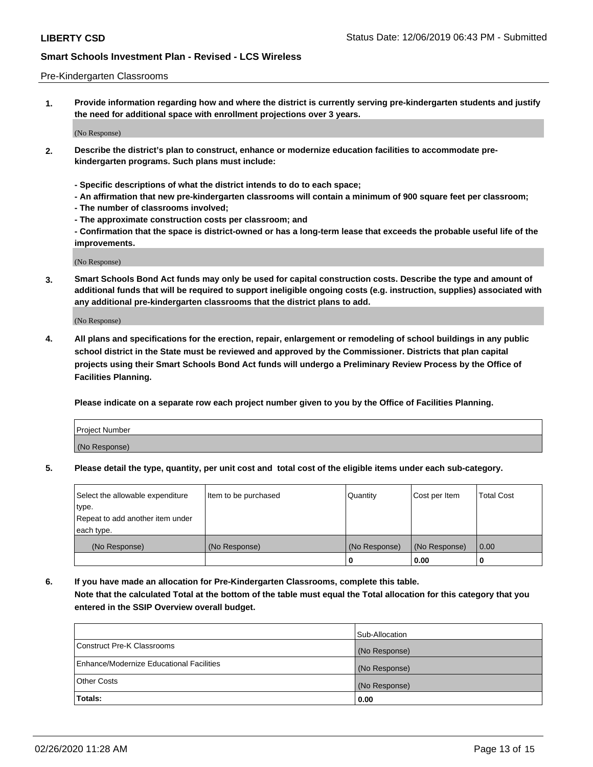#### Pre-Kindergarten Classrooms

**1. Provide information regarding how and where the district is currently serving pre-kindergarten students and justify the need for additional space with enrollment projections over 3 years.**

(No Response)

- **2. Describe the district's plan to construct, enhance or modernize education facilities to accommodate prekindergarten programs. Such plans must include:**
	- **Specific descriptions of what the district intends to do to each space;**
	- **An affirmation that new pre-kindergarten classrooms will contain a minimum of 900 square feet per classroom;**
	- **The number of classrooms involved;**
	- **The approximate construction costs per classroom; and**
	- **Confirmation that the space is district-owned or has a long-term lease that exceeds the probable useful life of the improvements.**

(No Response)

**3. Smart Schools Bond Act funds may only be used for capital construction costs. Describe the type and amount of additional funds that will be required to support ineligible ongoing costs (e.g. instruction, supplies) associated with any additional pre-kindergarten classrooms that the district plans to add.**

(No Response)

**4. All plans and specifications for the erection, repair, enlargement or remodeling of school buildings in any public school district in the State must be reviewed and approved by the Commissioner. Districts that plan capital projects using their Smart Schools Bond Act funds will undergo a Preliminary Review Process by the Office of Facilities Planning.**

**Please indicate on a separate row each project number given to you by the Office of Facilities Planning.**

| Project Number |  |
|----------------|--|
| (No Response)  |  |
|                |  |

**5. Please detail the type, quantity, per unit cost and total cost of the eligible items under each sub-category.**

| Select the allowable expenditure | Item to be purchased | Quantity      | Cost per Item | <b>Total Cost</b> |
|----------------------------------|----------------------|---------------|---------------|-------------------|
| type.                            |                      |               |               |                   |
| Repeat to add another item under |                      |               |               |                   |
| each type.                       |                      |               |               |                   |
| (No Response)                    | (No Response)        | (No Response) | (No Response) | 0.00              |
|                                  |                      | υ             | 0.00          |                   |

**6. If you have made an allocation for Pre-Kindergarten Classrooms, complete this table. Note that the calculated Total at the bottom of the table must equal the Total allocation for this category that you entered in the SSIP Overview overall budget.**

|                                          | Sub-Allocation |
|------------------------------------------|----------------|
| Construct Pre-K Classrooms               | (No Response)  |
| Enhance/Modernize Educational Facilities | (No Response)  |
| <b>Other Costs</b>                       | (No Response)  |
| Totals:                                  | 0.00           |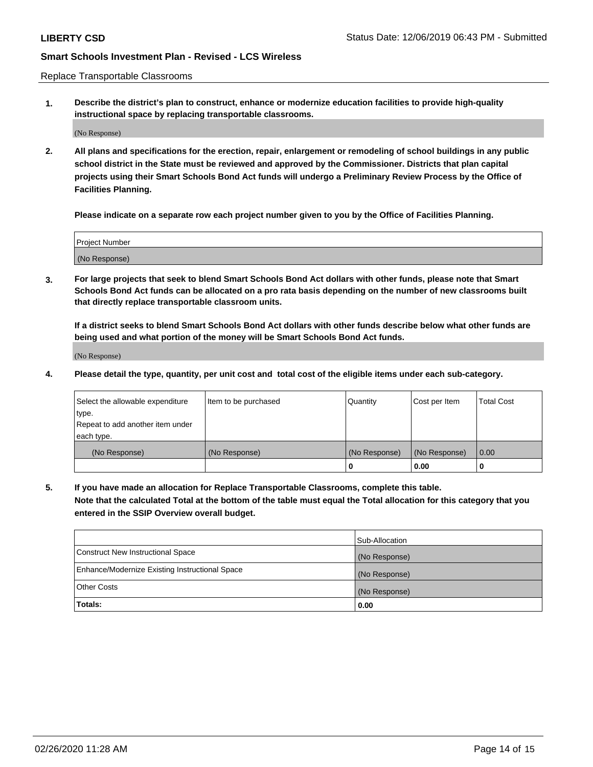Replace Transportable Classrooms

**1. Describe the district's plan to construct, enhance or modernize education facilities to provide high-quality instructional space by replacing transportable classrooms.**

(No Response)

**2. All plans and specifications for the erection, repair, enlargement or remodeling of school buildings in any public school district in the State must be reviewed and approved by the Commissioner. Districts that plan capital projects using their Smart Schools Bond Act funds will undergo a Preliminary Review Process by the Office of Facilities Planning.**

**Please indicate on a separate row each project number given to you by the Office of Facilities Planning.**

| Project Number |  |
|----------------|--|
|                |  |
|                |  |
|                |  |
|                |  |
| (No Response)  |  |
|                |  |
|                |  |
|                |  |

**3. For large projects that seek to blend Smart Schools Bond Act dollars with other funds, please note that Smart Schools Bond Act funds can be allocated on a pro rata basis depending on the number of new classrooms built that directly replace transportable classroom units.**

**If a district seeks to blend Smart Schools Bond Act dollars with other funds describe below what other funds are being used and what portion of the money will be Smart Schools Bond Act funds.**

(No Response)

**4. Please detail the type, quantity, per unit cost and total cost of the eligible items under each sub-category.**

| Select the allowable expenditure<br>∣type.     | Item to be purchased | Quantity      | Cost per Item | Total Cost |
|------------------------------------------------|----------------------|---------------|---------------|------------|
| Repeat to add another item under<br>each type. |                      |               |               |            |
| (No Response)                                  | (No Response)        | (No Response) | (No Response) | 0.00       |
|                                                |                      | u             | 0.00          |            |

**5. If you have made an allocation for Replace Transportable Classrooms, complete this table. Note that the calculated Total at the bottom of the table must equal the Total allocation for this category that you entered in the SSIP Overview overall budget.**

|                                                | Sub-Allocation |
|------------------------------------------------|----------------|
| Construct New Instructional Space              | (No Response)  |
| Enhance/Modernize Existing Instructional Space | (No Response)  |
| Other Costs                                    | (No Response)  |
| Totals:                                        | 0.00           |